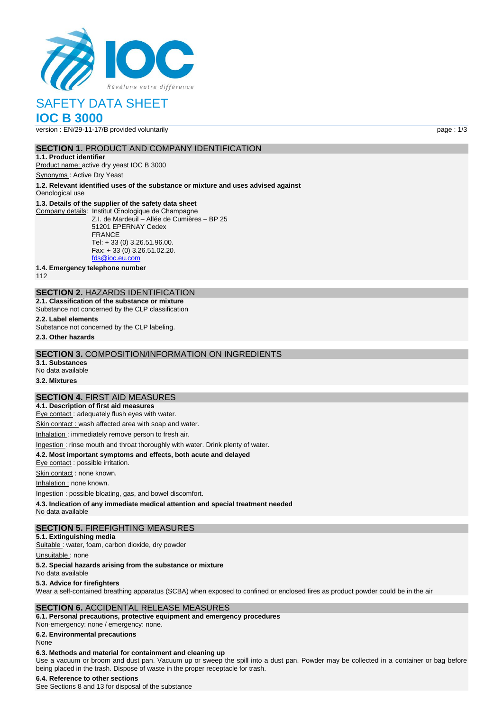

# SAFETY DATA SHEET

# **IOC B 3000**

version : EN/29-11-17/B provided voluntarily page : 1/3

#### **SECTION 1. PRODUCT AND COMPANY IDENTIFICATION**

**1.1. Product identifier** Product name: active dry yeast IOC B 3000

Synonyms : Active Dry Yeast

**1.2. Relevant identified uses of the substance or mixture and uses advised against**

Oenological use

#### **1.3. Details of the supplier of the safety data sheet**

Company details: Institut Œnologique de Champagne Z.I. de Mardeuil – Allée de Cumières – BP 25

51201 EPERNAY Cedex FRANCE Tel: + 33 (0) 3.26.51.96.00. Fax: + 33 (0) 3.26.51.02.20. [fds@ioc.eu.com](mailto:fds@ioc.eu.com)

**1.4. Emergency telephone number**

112

# **SECTION 2.** HAZARDS IDENTIFICATION

**2.1. Classification of the substance or mixture** Substance not concerned by the CLP classification

**2.2. Label elements**

Substance not concerned by the CLP labeling.

**2.3. Other hazards**

#### **SECTION 3.** COMPOSITION/INFORMATION ON INGREDIENTS

**3.1. Substances** No data available

**3.2. Mixtures**

#### **SECTION 4.** FIRST AID MEASURES

**4.1. Description of first aid measures** Eye contact : adequately flush eyes with water.

Skin contact : wash affected area with soap and water.

Inhalation : immediately remove person to fresh air.

#### Ingestion : rinse mouth and throat thoroughly with water. Drink plenty of water.

**4.2. Most important symptoms and effects, both acute and delayed**

Eye contact : possible irritation.

Skin contact : none known.

Inhalation : none known.

Ingestion : possible bloating, gas, and bowel discomfort.

**4.3. Indication of any immediate medical attention and special treatment needed**

No data available

#### **SECTION 5.** FIREFIGHTING MEASURES

**5.1. Extinguishing media**

Suitable : water, foam, carbon dioxide, dry powder

Unsuitable: none

#### **5.2. Special hazards arising from the substance or mixture**

No data available

#### **5.3. Advice for firefighters**

Wear a self-contained breathing apparatus (SCBA) when exposed to confined or enclosed fires as product powder could be in the air

#### **SECTION 6.** ACCIDENTAL RELEASE MEASURES

**6.1. Personal precautions, protective equipment and emergency procedures** Non‐emergency: none / emergency: none.

**6.2. Environmental precautions**

#### None

#### **6.3. Methods and material for containment and cleaning up**

Use a vacuum or broom and dust pan. Vacuum up or sweep the spill into a dust pan. Powder may be collected in a container or bag before being placed in the trash. Dispose of waste in the proper receptacle for trash.

#### **6.4. Reference to other sections**

See Sections 8 and 13 for disposal of the substance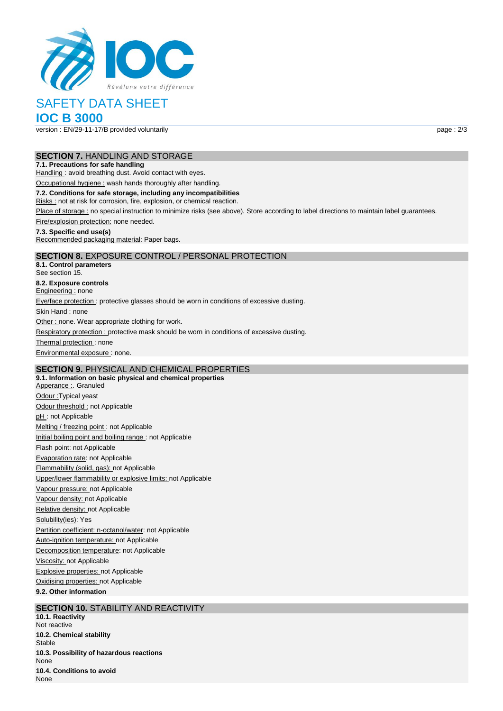

# SAFETY DATA SHEET

# **IOC B 3000**

version : EN/29-11-17/B provided voluntarily page : 2/3

#### **SECTION 7.** HANDLING AND STORAGE

#### **7.1. Precautions for safe handling**

Handling : avoid breathing dust. Avoid contact with eyes.

Occupational hygiene : wash hands thoroughly after handling.

#### **7.2. Conditions for safe storage, including any incompatibilities**

Risks : not at risk for corrosion, fire, explosion, or chemical reaction.

Place of storage : no special instruction to minimize risks (see above). Store according to label directions to maintain label guarantees.

Fire/explosion protection: none needed.

#### **7.3. Specific end use(s)**

Recommended packaging material: Paper bags.

### **SECTION 8.** EXPOSURE CONTROL / PERSONAL PROTECTION

**8.1. Control parameters** See section 15. **8.2. Exposure controls** Engineering : none Eye/face protection : protective glasses should be worn in conditions of excessive dusting. Skin Hand : none Other : none. Wear appropriate clothing for work. Respiratory protection : protective mask should be worn in conditions of excessive dusting. Thermal protection: none Environmental exposure : none.

## **SECTION 9.** PHYSICAL AND CHEMICAL PROPERTIES

**9.1. Information on basic physical and chemical properties** Apperance : Granuled Odour :Typical yeast Odour threshold : not Applicable pH: not Applicable Melting / freezing point : not Applicable Initial boiling point and boiling range : not Applicable Flash point: not Applicable Evaporation rate: not Applicable Flammability (solid, gas): not Applicable Upper/lower flammability or explosive limits: not Applicable Vapour pressure: not Applicable Vapour density: not Applicable Relative density: not Applicable Solubility(ies): Yes Partition coefficient: n-octanol/water: not Applicable Auto-ignition temperature: not Applicable Decomposition temperature: not Applicable Viscosity: not Applicable Explosive properties: not Applicable Oxidising properties: not Applicable **9.2. Other information**

#### **SECTION 10. STABILITY AND REACTIVITY**

**10.1. Reactivity** Not reactive **10.2. Chemical stability** Stable **10.3. Possibility of hazardous reactions** None **10.4. Conditions to avoid** None